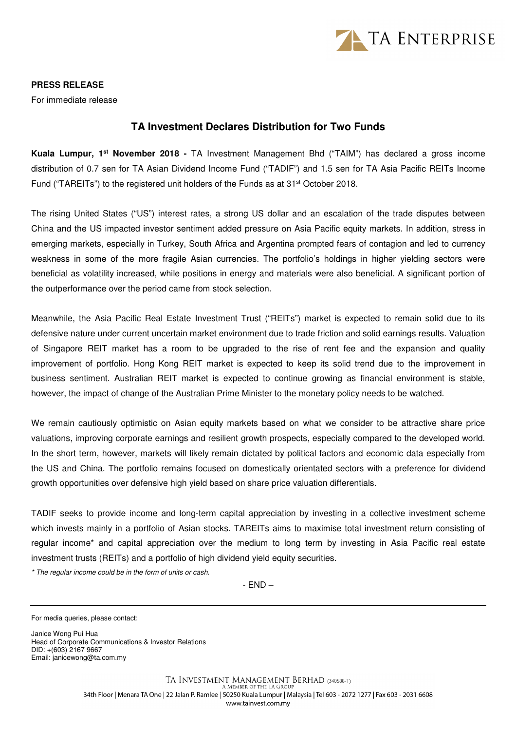

## **PRESS RELEASE**

For immediate release

## **TA Investment Declares Distribution for Two Funds**

**Kuala Lumpur, 1st November 2018 -** TA Investment Management Bhd ("TAIM") has declared a gross income distribution of 0.7 sen for TA Asian Dividend Income Fund ("TADIF") and 1.5 sen for TA Asia Pacific REITs Income Fund ("TAREITs") to the registered unit holders of the Funds as at 31<sup>st</sup> October 2018.

The rising United States ("US") interest rates, a strong US dollar and an escalation of the trade disputes between China and the US impacted investor sentiment added pressure on Asia Pacific equity markets. In addition, stress in emerging markets, especially in Turkey, South Africa and Argentina prompted fears of contagion and led to currency weakness in some of the more fragile Asian currencies. The portfolio's holdings in higher yielding sectors were beneficial as volatility increased, while positions in energy and materials were also beneficial. A significant portion of the outperformance over the period came from stock selection.

Meanwhile, the Asia Pacific Real Estate Investment Trust ("REITs") market is expected to remain solid due to its defensive nature under current uncertain market environment due to trade friction and solid earnings results. Valuation of Singapore REIT market has a room to be upgraded to the rise of rent fee and the expansion and quality improvement of portfolio. Hong Kong REIT market is expected to keep its solid trend due to the improvement in business sentiment. Australian REIT market is expected to continue growing as financial environment is stable, however, the impact of change of the Australian Prime Minister to the monetary policy needs to be watched.

We remain cautiously optimistic on Asian equity markets based on what we consider to be attractive share price valuations, improving corporate earnings and resilient growth prospects, especially compared to the developed world. In the short term, however, markets will likely remain dictated by political factors and economic data especially from the US and China. The portfolio remains focused on domestically orientated sectors with a preference for dividend growth opportunities over defensive high yield based on share price valuation differentials.

TADIF seeks to provide income and long-term capital appreciation by investing in a collective investment scheme which invests mainly in a portfolio of Asian stocks. TAREITs aims to maximise total investment return consisting of regular income\* and capital appreciation over the medium to long term by investing in Asia Pacific real estate investment trusts (REITs) and a portfolio of high dividend yield equity securities.

\* The regular income could be in the form of units or cash.

- END –

Janice Wong Pui Hua Head of Corporate Communications & Investor Relations DID: +(603) 2167 9667 Email: janicewong@ta.com.my

For media queries, please contact: